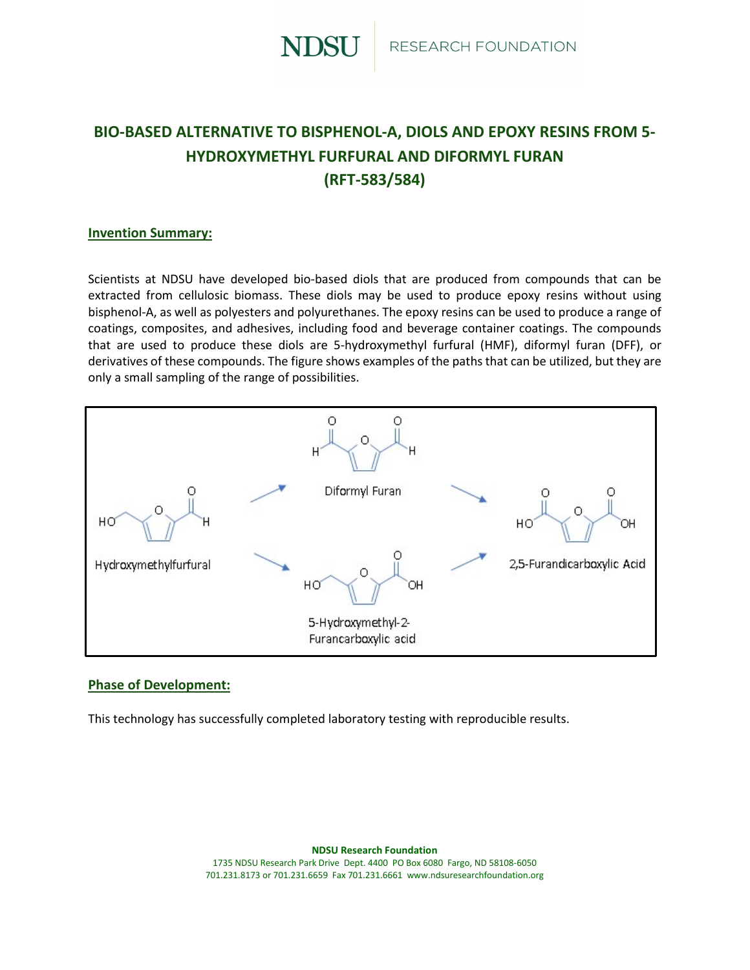

# **BIO-BASED ALTERNATIVE TO BISPHENOL-A, DIOLS AND EPOXY RESINS FROM 5- HYDROXYMETHYL FURFURAL AND DIFORMYL FURAN (RFT-583/584)**

#### **Invention Summary:**

Scientists at NDSU have developed bio-based diols that are produced from compounds that can be extracted from cellulosic biomass. These diols may be used to produce epoxy resins without using bisphenol-A, as well as polyesters and polyurethanes. The epoxy resins can be used to produce a range of coatings, composites, and adhesives, including food and beverage container coatings. The compounds that are used to produce these diols are 5-hydroxymethyl furfural (HMF), diformyl furan (DFF), or derivatives of these compounds. The figure shows examples of the paths that can be utilized, but they are only a small sampling of the range of possibilities.



#### **Phase of Development:**

This technology has successfully completed laboratory testing with reproducible results.

**NDSU Research Foundation** 1735 NDSU Research Park Drive Dept. 4400 PO Box 6080 Fargo, ND 58108-6050 701.231.8173 or 701.231.6659 Fax 701.231.6661 www.ndsuresearchfoundation.org